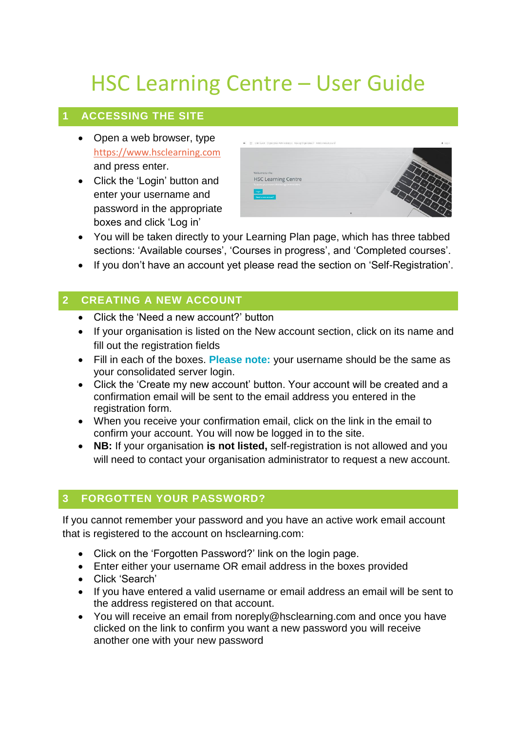# HSC Learning Centre – User Guide

## **1 ACCESSING THE SITE**

- Open a web browser, type [https://www.hsclearning.com](https://www.hsclearning.com/) and press enter.
- Click the 'Login' button and enter your username and password in the appropriate boxes and click 'Log in'



- You will be taken directly to your Learning Plan page, which has three tabbed sections: 'Available courses', 'Courses in progress', and 'Completed courses'.
- If you don't have an account yet please read the section on 'Self-Registration'.

## **2 CREATING A NEW ACCOUNT**

- Click the 'Need a new account?' button
- If your organisation is listed on the New account section, click on its name and fill out the registration fields
- Fill in each of the boxes. **Please note:** your username should be the same as your consolidated server login.
- Click the 'Create my new account' button. Your account will be created and a confirmation email will be sent to the email address you entered in the registration form.
- When you receive your confirmation email, click on the link in the email to confirm your account. You will now be logged in to the site.
- **NB:** If your organisation **is not listed,** self-registration is not allowed and you will need to contact your organisation administrator to request a new account.

## **3 FORGOTTEN YOUR PASSWORD?**

If you cannot remember your password and you have an active work email account that is registered to the account on hsclearning.com:

- Click on the 'Forgotten Password?' link on the login page.
- Enter either your username OR email address in the boxes provided
- Click 'Search'
- If you have entered a valid username or email address an email will be sent to the address registered on that account.
- You will receive an email from noreply@hsclearning.com and once you have clicked on the link to confirm you want a new password you will receive another one with your new password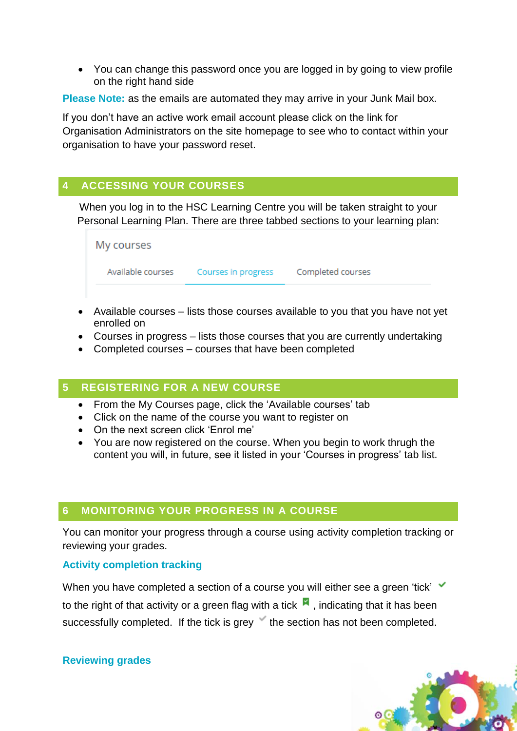• You can change this password once you are logged in by going to view profile on the right hand side

**Please Note:** as the emails are automated they may arrive in your Junk Mail box.

If you don't have an active work email account please click on the link for Organisation Administrators on the site homepage to see who to contact within your organisation to have your password reset.

## **4 ACCESSING YOUR COURSES**

When you log in to the HSC Learning Centre you will be taken straight to your Personal Learning Plan. There are three tabbed sections to your learning plan:

| My courses        |                     |                   |  |
|-------------------|---------------------|-------------------|--|
| Available courses | Courses in progress | Completed courses |  |

- Available courses lists those courses available to you that you have not yet enrolled on
- Courses in progress lists those courses that you are currently undertaking
- Completed courses courses that have been completed

## **5 REGISTERING FOR A NEW COURSE**

- From the My Courses page, click the 'Available courses' tab
- Click on the name of the course you want to register on
- On the next screen click 'Enrol me'
- You are now registered on the course. When you begin to work thrugh the content you will, in future, see it listed in your 'Courses in progress' tab list.

#### **6 MONITORING YOUR PROGRESS IN A COURSE**

You can monitor your progress through a course using activity completion tracking or reviewing your grades.

#### **Activity completion tracking**

When you have completed a section of a course you will either see a green 'tick' to the right of that activity or a green flag with a tick  $\blacksquare$ , indicating that it has been successfully completed. If the tick is grey the section has not been completed.

#### **Reviewing grades**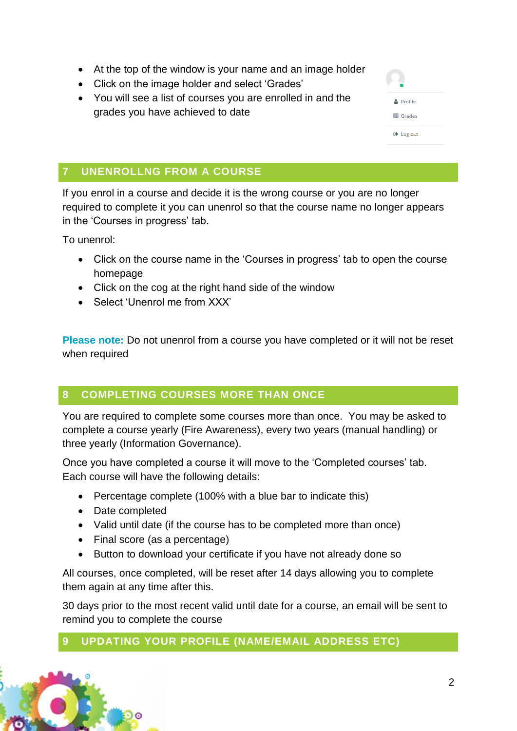- At the top of the window is your name and an image holder
- Click on the image holder and select 'Grades'
- You will see a list of courses you are enrolled in and the grades you have achieved to date

| <b>A</b> Profile |  |
|------------------|--|
| <b>田 Grades</b>  |  |
| □ Log out        |  |

 $\mathfrak{p}$ 

# **7 UNENROLLNG FROM A COURSE**

If you enrol in a course and decide it is the wrong course or you are no longer required to complete it you can unenrol so that the course name no longer appears in the 'Courses in progress' tab.

To unenrol:

- Click on the course name in the 'Courses in progress' tab to open the course homepage
- Click on the cog at the right hand side of the window
- Select 'Unenrol me from XXX'

**Please note:** Do not unenrol from a course you have completed or it will not be reset when required

# **8 COMPLETING COURSES MORE THAN ONCE**

You are required to complete some courses more than once. You may be asked to complete a course yearly (Fire Awareness), every two years (manual handling) or three yearly (Information Governance).

Once you have completed a course it will move to the 'Completed courses' tab. Each course will have the following details:

- Percentage complete (100% with a blue bar to indicate this)
- Date completed
- Valid until date (if the course has to be completed more than once)
- Final score (as a percentage)
- Button to download your certificate if you have not already done so

All courses, once completed, will be reset after 14 days allowing you to complete them again at any time after this.

30 days prior to the most recent valid until date for a course, an email will be sent to remind you to complete the course

# **9 UPDATING YOUR PROFILE (NAME/EMAIL ADDRESS ETC)**